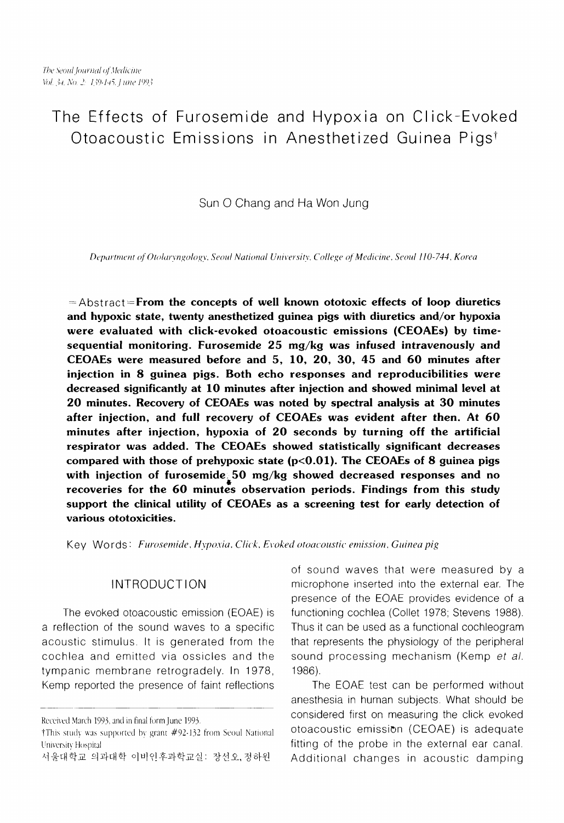# The Effects of Furosemide and Hypoxia on Click-Evoked Otoacoustic Emissions in Anesthetized Guinea Pigs<sup>t</sup>

Sun 0 Chang and Ha Won Jung

Department of Otolaryngology, Seoul National University, College of Medicine, Seoul 110-744, Korea

 $=$  Abstract = From the concepts of well known ototoxic effects of loop diuretics and hypoxic state, twenty anesthetized guinea pigs with diuretics and/or hypoxia were evaluated with click-evoked otoacoustic emissions (CEOAEs) by timesequential monitoring. Furosemide 25 mg/kg was infused intravenously and CEOAEs were measured before and 5, 10, 20, 30, 45 and 60 minutes after injection in 8 guinea pigs. Both echo responses and reproducibilities were decreased significantly at 10 minutes after injection and showed minimal level at 20 minutes. Recovery of CEOAEs was noted by spectral analysis at 30 minutes after injection, and full recovery of CEOAEs was evident after then. At 60 minutes after injection, hypoxia of 20 seconds by turning off the artificial respirator was added. The CEOAEs showed statistically significant decreases compared with those of prehypoxic state  $(p<0.01)$ . The CEOAEs of 8 guinea pigs with injection of furosemide.  $50 \text{ mg/kg}$  showed decreased responses and no recoveries for the 60 minutes observation periods. Findings from this study support the clinical utility of CEOAEs as a screening test for early detection of various ototoxicities.

Key Words: *Furosemide, Hypoxia, Click, Evoked otoacoustic emission, Guinea pig* 

a reflection of the sound waves to a specific Thus it can be used as a functional cochleogram acoustic stimulus. It is generated from the that represents the physiology of the peripheral cochlea and emitted via ossicles and the sound processing mechanism (Kemp et al. tympanic membrane retrogradely. In 1978, 1986). Kemp reported the presence of faint reflections The EOAE test can be performed without

of sound waves that were measured by a INTRODUCTION microphone inserted into the external ear. The presence of the EOAE provides evidence of a The evoked otoacoustic emission (EOAE) is functioning cochlea (Collet 1978; Stevens 1988).

anesthesia in human subjects. What should be Received March 1993, and in final form June 1993. Considered first on measuring the click evoked tThis study was supported by grant  $#92-132$  from Seoul National  $\phantom{0}$  OtOacoustic emission (CEOAE) is adequate 서울대학교 의과대학 이비인후과학교실: 장선오,정하원 Additional changes in acoustic damping

University Hospital **Intervention Contract Contract Contract Contract Contract Contract Contract Contract Contract Contract Contract Contract Contract Contract Contract Contract Contract Contract Contract Contract Contract**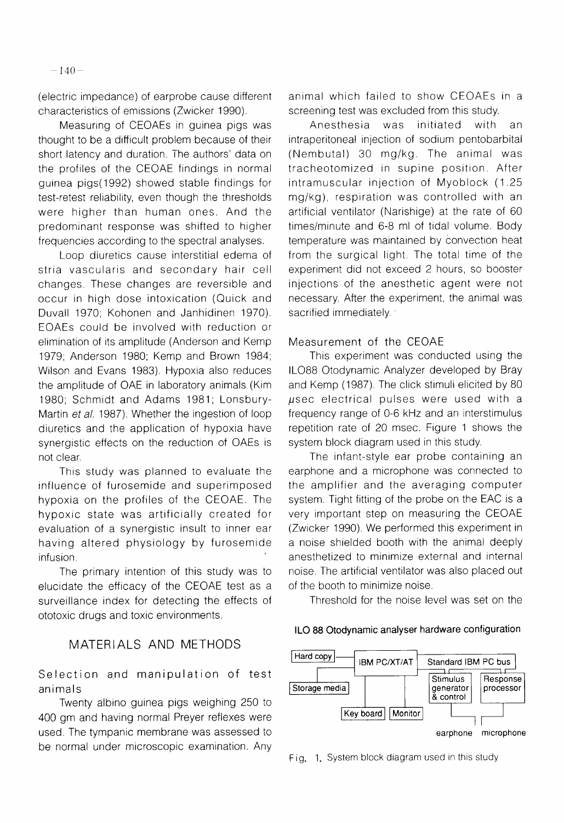(electric impedance) of earprobe cause different characteristics of emissions (Zwicker 1990).

Measuring of CEOAEs in guinea pigs was thought to be a difficult problem because of their short latency and duration. The authors' data on the profiles of the CEOAE findings in normal guinea pigs(1992) showed stable findings for test-retest reliability, even though the thresholds were higher than human ones. And the predominant response was shifted to higher frequencies according to the spectral analyses.

Loop diuretics cause interstitial edema of stria vascularis and secondary hair cell changes. These changes are reversible and occur in high dose intoxication (Quick and Duvall 1970; Kohonen and Janhidinen 1970). EOAEs could be involved with reduction or elimination of its amplitude (Anderson and Kemp 1979; Anderson 1980; Kemp and Brown 1984; Wilson and Evans 1983). Hypoxia also reduces the amplitude of OAE in laboratory animals (Kim 1980; Schmidt and Adams 1981; Lonsbury-Martin et al. 1987). Whether the ingestion of loop diuretics and the application of hypoxia have synergistic effects on the reduction of OAEs is not clear.

This study was planned to evaluate the influence of furosemide and superimposed hypoxia on the profiles of the CEOAE. The hypoxic state was artificially created for evaluation of a synergistic insult to inner ear having altered physiology by furosemide infusion.

The primary intention of this study was to elucidate the efficacy of the CEOAE test as a surveillance index for detecting the effects of ototoxic drugs and toxic environments.

# MATERIALS AND METHODS

Selection and manipulation of test animals

Twenty albino guinea pigs weighing 250 to 400 gm and having normal Preyer reflexes were used. The tympanic membrane was assessed to be normal under microscopic examination. Any

animal which failed to show CEOAEs in a screening test was excluded from this study.

Anesthesia was initiated with an intraperitoneal injection of sodium pentobarbital (Nembutal) 30 mg/kg. The animal was tracheotomized in supine position. After intramuscular injection of Myoblock (1.25 mglkg), respiration was controlled with an artificial ventilator (Narishige) at the rate of 60 times/minute and 6-8 ml of tidal volume. Body temperature was maintained by convection heat from the surgical light. The total time of the experiment did not exceed 2 hours, so booster injections of the anesthetic agent were not necessary. After the experiment, the animal was sacrified immediately.

#### Measurement of the CEOAE

This experiment was conducted using the IL088 Otodynamic Analyzer developed by Bray and Kemp (1987). The click stimuli elicited by 80  $\mu$ sec electrical pulses were used with a frequency range of 0-6 kHz and an interstimulus repetition rate of 20 msec. Figure 1 shows the system block diagram used in this study.

The infant-style ear probe containing an earphone and a microphone was connected to the amplifier and the averaging computer system. Tight fitting of the probe on the EAC is a very important step on measuring the CEOAE (Zwicker 1990). We performed this experiment in a noise shielded booth with the animal deeply anesthetized to minimize external and internal noise. The artificial ventilator was also placed out of the booth to minimize noise.

Threshold for the noise level was set on the

**ILO 88 Otodynamic analyser hardware configuration** 



Fig. 1. System block diagram used in this study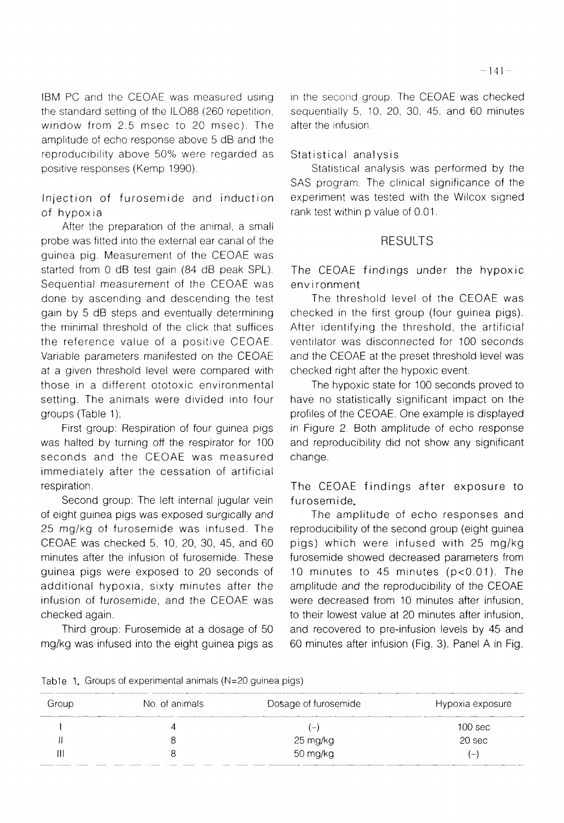IBM PC and the CEOAE was measured using the standard setting of the IL088 (260 repetition, window from 2.5 msec to 20 msec). The amplitude of echo response above 5 dB and the reproducibility above 50% were regarded as positive responses (Kemp 1990).

Injection of furosemide and induction of hypoxia

After the preparation of the animal, a small probe was fitted into the external ear canal of the guinea pig. Measurement of the CEOAE was started from 0 dB test gain (84 dB peak SPL). Sequential measurement of the CEOAE was done by ascending and descending the test gain by 5 dB steps and eventually determining the minimal threshold of the click that suffices the reference value of a positive CEOAE. Variable parameters manifested on the CEOAE at a given threshold level were compared with those in a different ototoxic environmental setting. The animals were divided into four groups (Table 1);

First group: Respiration of four guinea pigs was halted by turning off the respirator for 100 seconds and the CEOAE was measured immediately after the cessation of artificial respiration.

Second group: The left internal jugular vein of eight guinea pigs was exposed surgically and 25 mg/kg of furosemide was infused. The CEOAE was checked 5, 10, 20, 30, 45, and 60 minutes after the infusion of furosemide. These guinea pigs were exposed to 20 seconds of additional hypoxia, sixty minutes after the infusion of furosemide, and the CEOAE was checked again.

Third group: Furosemide at a dosage of 50 mglkg was infused into the eight guinea pigs as in the second group. The CEOAE was checked sequentially 5, 10, 20, 30, 45, and 60 minutes after the infusion.

#### Statistical analysis

Statistical analysis was performed by the SAS program. The clinical significance of the experiment was tested with the Wilcox signed rank test within p value of 0.01

### RESULTS

The CEOAE findings under the hypoxic env i ronment

The threshold level of the CEOAE was checked in the first group (four guinea pigs). After identifying the threshold, the artificial ventilator was disconnected for 100 seconds and the CEOAE at the preset threshold level was checked right after the hypoxic event.

The hypoxic state for 100 seconds proved to have no statistically significant impact on the profiles of the CEOAE. One example is displayed in Figure 2. Both amplitude of echo response and reproducibility did not show any significant change.

The CEOAE findings after exposure to furosemide.

The amplitude of echo responses and reproducibility of the second group (eight guinea pigs) which were infused with 25 mg/kg furosemide showed decreased parameters from 10 minutes to 45 minutes (p<0.01). The amplitude and the reproducibility of the CEOAE were decreased from 10 minutes after infusion, to their lowest value at 20 minutes after infusion, and recovered to pre-infusion levels by 45 and 60 minutes after infusion (Fig. 3). Panel A in Fig.

Table 1. Groups of experimental animals (N=20 guinea pigs)

| Group | No. of animals | Dosage of furosemide | Hypoxia exposure         |
|-------|----------------|----------------------|--------------------------|
|       |                | $-$                  | 100 sec                  |
|       |                | 25 mg/kg             | 20 sec                   |
|       |                | 50 mg/kg             | $\overline{\phantom{0}}$ |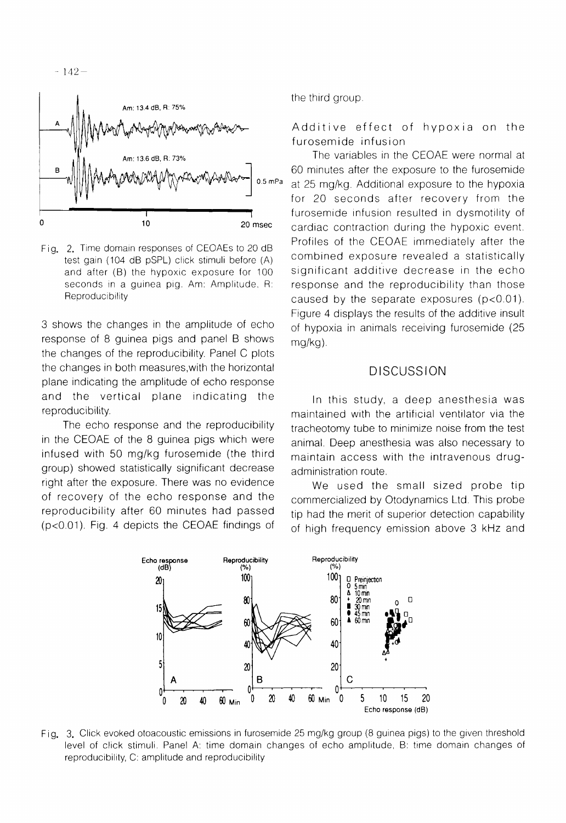

Fig. 2. Time domain responses of CEOAEs to 20 dB test gain (104 dB pSPL) click stimuli before (A) and after (B) the hypoxic exposure for 100 seconds in a guinea pig. Am: Amplitude, R: **Reproducibility** 

3 shows the changes in the amplitude of echo response of 8 guinea pigs and panel B shows the changes of the reproducibility. Panel C plots the changes in both measures,with the horizontal plane indicating the amplitude of echo response and the vertical plane indicating the reproducibility.

The echo response and the reproducibility in the CEOAE of the 8 guinea pigs which were infused with 50 mg/kg furosemide (the third group) showed statistically significant decrease right after the exposure. There was no evidence of recovery of the echo response and the reproducibility after 60 minutes had passed (p<0.01). Fig. 4 depicts the CEOAE findings of the third group.

Additive effect of hypoxia on the furosemide infusion

The variables in the CEOAE were normal at 60 minutes after the exposure to the furosemide at 25 mg/kg. Additional exposure to the hypoxia for 20 seconds after recovery from the furosemide infusion resulted in dysmotility of cardiac contraction during the hypoxic event. Profiles of the CEOAE immediately after the combined exposure revealed a statistically significant additive decrease in the echo response and the reproducibility than those caused by the separate exposures (p<0.01). Figure 4 displays the results of the additive insult of hypoxia in animals receiving furosemide (25 mg/kg).

#### **DISCUSSION**

In this study, a deep anesthesia was maintained with the artificial ventilator via the tracheotomy tube to minimize noise from the test animal. Deep anesthesia was also necessary to maintain access with the intravenous drugadministration route.

We used the small sized probe tip commercialized by Otodynamics Ltd. This probe tip had the merit of superior detection capability of high frequency emission above 3 kHz and



Fig. 3. Click evoked otoacoustic emissions in furosemide 25 mg/kg group (8 guinea pigs) to the given threshold level of click stimuli. Panel A: time domain changes of echo amplitude, B: time domain changes of reproducibility, C: amplitude and reproducibility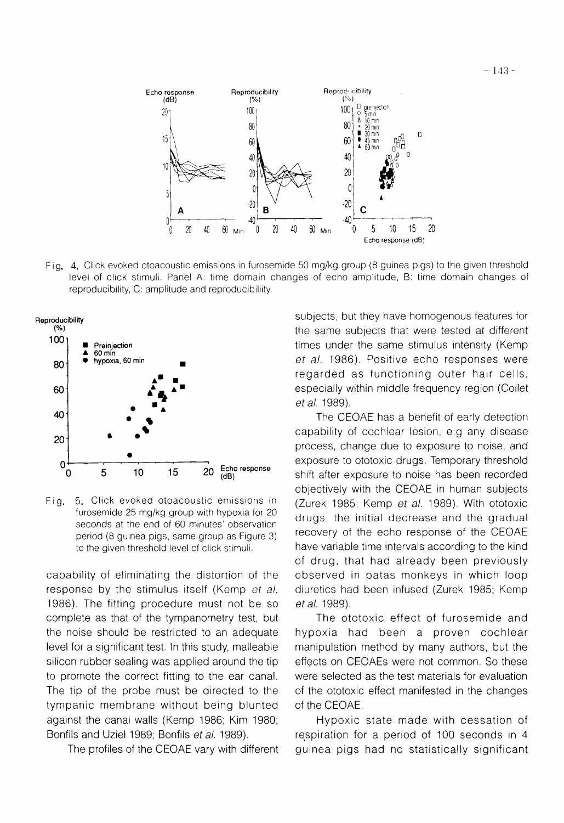

Fig. 4. Click evoked otoacoustic emissions in furosemide 50 mg/kg group (8 guinea pigs) to the given threshold level of click stimuli. Panel A: time domain changes of echo amplitude, B: time domain changes of reproducibility, C: amplitude and reproducibiliity.



Fig. 5. Click evoked otoacoustic emissions in (Zurek 1985; Kemp *et* a/. 1989). With ototoxic period (8 guinea pigs, same group as Figure 3)<br>to the given threshold level of click stimuli.

capability of eliminating the distortion of the response by the stimulus itself (Kemp *et* a/. 1986). The fitting procedure must not be so complete as that of the tympanometry test, but the noise should be restricted to an adequate level for a significant test. In this study, malleable silicon rubber sealing was applied around the tip to promote the correct fitting to the ear canal. The tip of the probe must be directed to the tympanic membrane without being blunted against the canal walls (Kemp 1986; Kim 1980; Bonfils and Uziel 1989; Bonfils et a/. 1989).

The profiles of the CEOAE vary with different

subjects, but they have homogenous features for the same subjects that were tested at different times under the same stimulus intensity (Kemp *et* a/. 1986). Positive echo responses were regarded as functioning outer hair cells, especially within middle frequency region (Collet *et* a/. 1989).

The CEOAE has a benefit of early detection capability of cochlear lesion, e.g any disease process, change due to exposure to noise, and exposure to ototoxic drugs. Temporary threshold shift after exposure to noise has been recorded objectively with the CEOAE in human subjects furosemide 25 mglkg group with hypoxia for 20 drugs, the initial decrease and the gradual seconds at the end of 60 minutes' observation recovery of the echo response of the CEOAE have variable time intervals according to the kind of drug, that had already been previously observed in patas monkeys in which loop diuretics had been infused (Zurek 1985; Kemp *et al.* 1989).

> The ototoxic effect of furosemide and hypoxia had been a proven cochlear manipulation method by many authors, but the effects on CEOAEs were not common. So these were selected as the test materials for evaluation of the ototoxic effect manifested in the changes of the CEOAE.

> Hypoxic state made with cessation of respiration for a period of 100 seconds in 4 guinea pigs had no statistically significant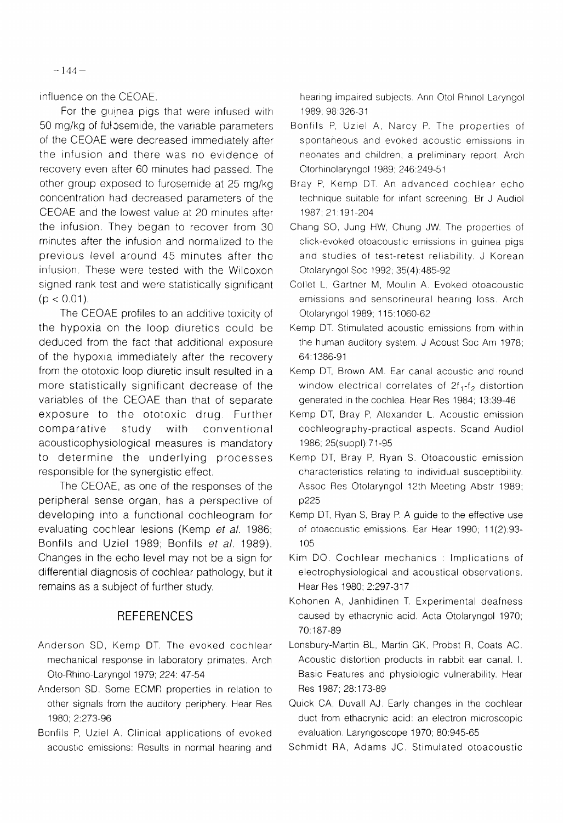$-144-$ 

influence on the CEOAE.

For the quinea pigs that were infused with 50 mg/kg of ful osemide, the variable parameters of the CEOAE were decreased immediately after the infusion and there was no evidence of recovery even after 60 minutes had passed. The other group exposed to furosemide at 25 mg/kg concentration had decreased parameters of the CEOAE and the lowest value at 20 minutes after the infusion. They began to recover from 30 minutes after the infusion and normalized to the previous level around 45 minutes after the infusion. These were tested with the Wilcoxon signed rank test and were statistically significant  $(p < 0.01)$ .

The CEOAE profiles to an additive toxicity of the hypoxia on the loop diuretics could be deduced from the fact that additional exposure of the hypoxia immediately after the recovery from the ototoxic loop diuretic insult resulted in a more statistically significant decrease of the variables of the CEOAE than that of separate exposure to the ototoxic drug. Further comparative study with conventional acousticophysiological measures is mandatory to determine the underlying processes responsible for the synergistic effect.

The CEOAE, as one of the responses of the peripheral sense organ, has a perspective of developing into a functional cochleogram for evaluating cochlear lesions (Kemp et al. 1986; Bonfils and Uziel 1989; Bonfils et a/. 1989). Changes in the echo level may not be a sign for differential diagnosis of cochlear pathology, but it remains as a subject of further study.

## **REFERENCES**

- Anderson SD, Kemp DT. The evoked cochlear mechanical response in laboratory primates. Arch Oto-Rhino-Laryngol 1979; 224: 47-54
- Anderson SD. Some ECMF: properties in relation to other signals from the auditory periphery. Hear Res 1980; 2:273-96
- Bonfils P, Uziel A. Clinical applications of evoked acoustic emissions: Results in normal hearing and

hearing impaired subjects. Ann Otol Rhinol Laryngol 1989; 98:326-3 1

- Bonfils P, Uziel A, Narcy P. The properties of spontaneous and evoked acoustic emissions in neonates and children; a preliminary report. Arch Otorhinolaryngol 1989; 246:249-51
- Bray P, Kemp DT. An advanced cochlear echo technique suitable for infant screening. Br J Audiol 1987; 21:191-204
- Chang SO, Jung HW, Chung JW. The properties of click-evoked otoacoustic emissions in guinea pigs and studies of test-retest reliability. J Korean Otolaryngol Soc 1992; 35(4):485-92
- Collet L, Gartner M, Moulin A. Evoked otoacoustic emissions and sensorineural hearing loss. Arch Otolaryngol 1989; 1 15: 1060-62
- Kemp DT. Stimulated acoustic emissions from within the human auditory system. J Acoust Soc Am 1978; 64: 1386-91
- Kemp DT, Brown AM. Ear canal acoustic and round window electrical correlates of  $2f_1-f_2$  distortion generated in the cochlea. Hear Res 1984; 13:39-46
- Kemp DT, Bray P, Alexander L. Acoustic emission cochleography-practical aspects. Scand Audiol 1986; 25(suppl):71-95
- Kemp DT, Bray P, Ryan S. Otoacoustic emission characteristics relating to individual susceptibility. Assoc Res Otolaryngol 12th Meeting Abstr 1989; p225
- Kemp DT, Ryan S, Bray P. A guide to the effective use of otoacoustic emissions. Ear Hear 1990; 11(2):93-105
- Kim DO. Cochlear mechanics : Implications of electrophysiological and acoustical observations. Hear Res 1980; 2:297-317
- Kohonen A, Janhidinen T. Experimental deafness caused by ethacrynic acid. Acta Otolaryngol 1970; 70: 187-89
- Lonsbury-Martin BL, Martin GK, Probst R, Coats AC. Acoustic distortion products in rabbit ear canal. I. Basic Features and physiologic vulnerability. Hear Res 1987; 28: 173-89
- Quick CA, Duvall AJ. Early changes in the cochlear duct from ethacrynic acid: an electron microscopic evaluation. Laryngoscope 1970; 80:945-65
- Schmidt RA, Adams JC. Stimulated otoacoustic